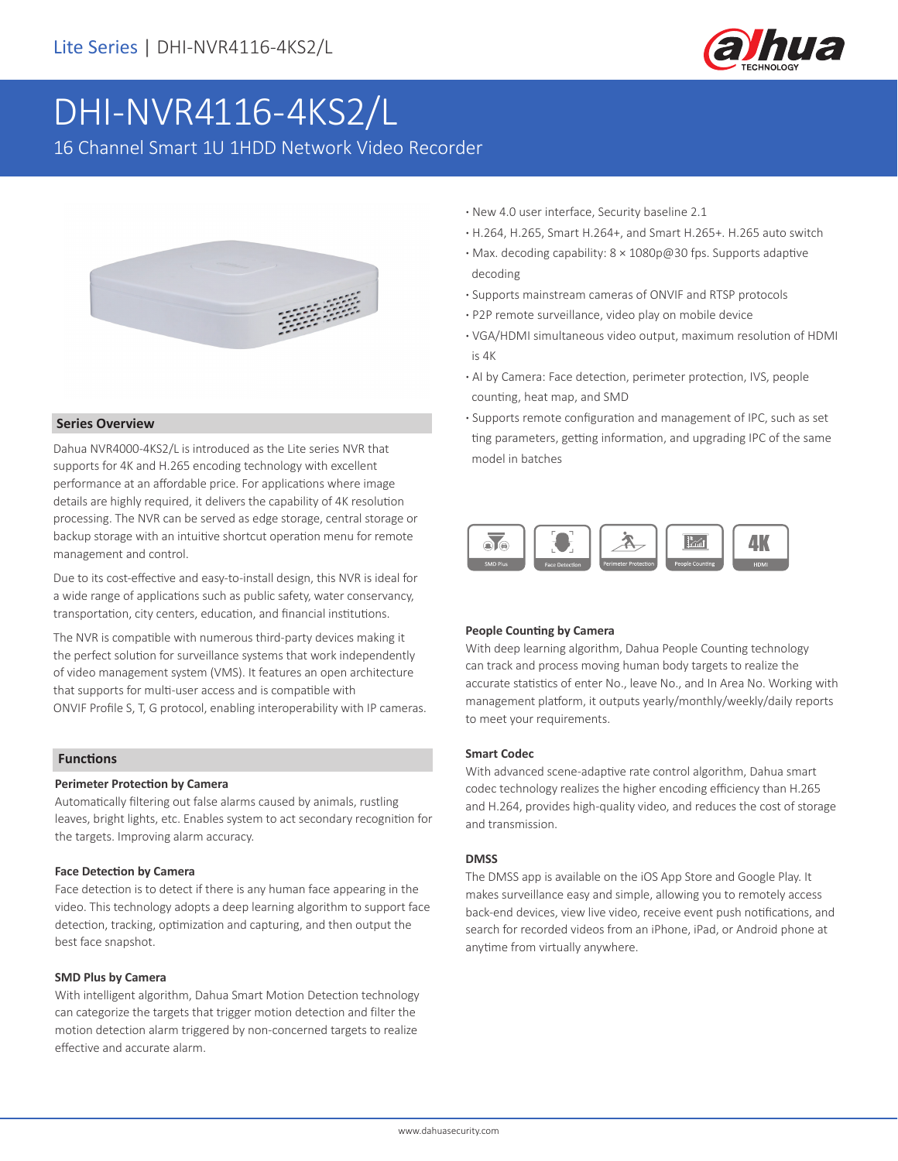

# DHI-NVR4116-4KS2/L

16 Channel Smart 1U 1HDD Network Video Recorder



#### **Series Overview**

Dahua NVR4000-4KS2/L is introduced as the Lite series NVR that supports for 4K and H.265 encoding technology with excellent performance at an affordable price. For applications where image details are highly required, it delivers the capability of 4K resolution processing. The NVR can be served as edge storage, central storage or backup storage with an intuitive shortcut operation menu for remote management and control.

Due to its cost-effective and easy-to-install design, this NVR is ideal for a wide range of applications such as public safety, water conservancy, transportation, city centers, education, and financial institutions.

The NVR is compatible with numerous third-party devices making it the perfect solution for surveillance systems that work independently of video management system (VMS). It features an open architecture that supports for multi-user access and is compatible with ONVIF Profile S, T, G protocol, enabling interoperability with IP cameras.

#### **Functions**

#### **Perimeter Protection by Camera**

Automatically filtering out false alarms caused by animals, rustling leaves, bright lights, etc. Enables system to act secondary recognition for the targets. Improving alarm accuracy.

#### **Face Detection by Camera**

Face detection is to detect if there is any human face appearing in the video. This technology adopts a deep learning algorithm to support face detection, tracking, optimization and capturing, and then output the best face snapshot.

#### **SMD Plus by Camera**

With intelligent algorithm, Dahua Smart Motion Detection technology can categorize the targets that trigger motion detection and filter the motion detection alarm triggered by non-concerned targets to realize effective and accurate alarm.

- **·** New 4.0 user interface, Security baseline 2.1
- **·** H.264, H.265, Smart H.264+, and Smart H.265+. H.265 auto switch
- **·** Max. decoding capability: 8 × 1080p@30 fps. Supports adaptive decoding
- **·** Supports mainstream cameras of ONVIF and RTSP protocols
- **·** P2P remote surveillance, video play on mobile device
- **·** VGA/HDMI simultaneous video output, maximum resolution of HDMI is 4K
- **·** AI by Camera: Face detection, perimeter protection, IVS, people counting, heat map, and SMD
- **·** Supports remote configuration and management of IPC, such as set ting parameters, getting information, and upgrading IPC of the same model in batches



#### **People Counting by Camera**

With deep learning algorithm, Dahua People Counting technology can track and process moving human body targets to realize the accurate statistics of enter No., leave No., and In Area No. Working with management platform, it outputs yearly/monthly/weekly/daily reports to meet your requirements.

#### **Smart Codec**

With advanced scene-adaptive rate control algorithm, Dahua smart codec technology realizes the higher encoding efficiency than H.265 and H.264, provides high-quality video, and reduces the cost of storage and transmission.

#### **DMSS**

The DMSS app is available on the iOS App Store and Google Play. It makes surveillance easy and simple, allowing you to remotely access back-end devices, view live video, receive event push notifications, and search for recorded videos from an iPhone, iPad, or Android phone at anytime from virtually anywhere.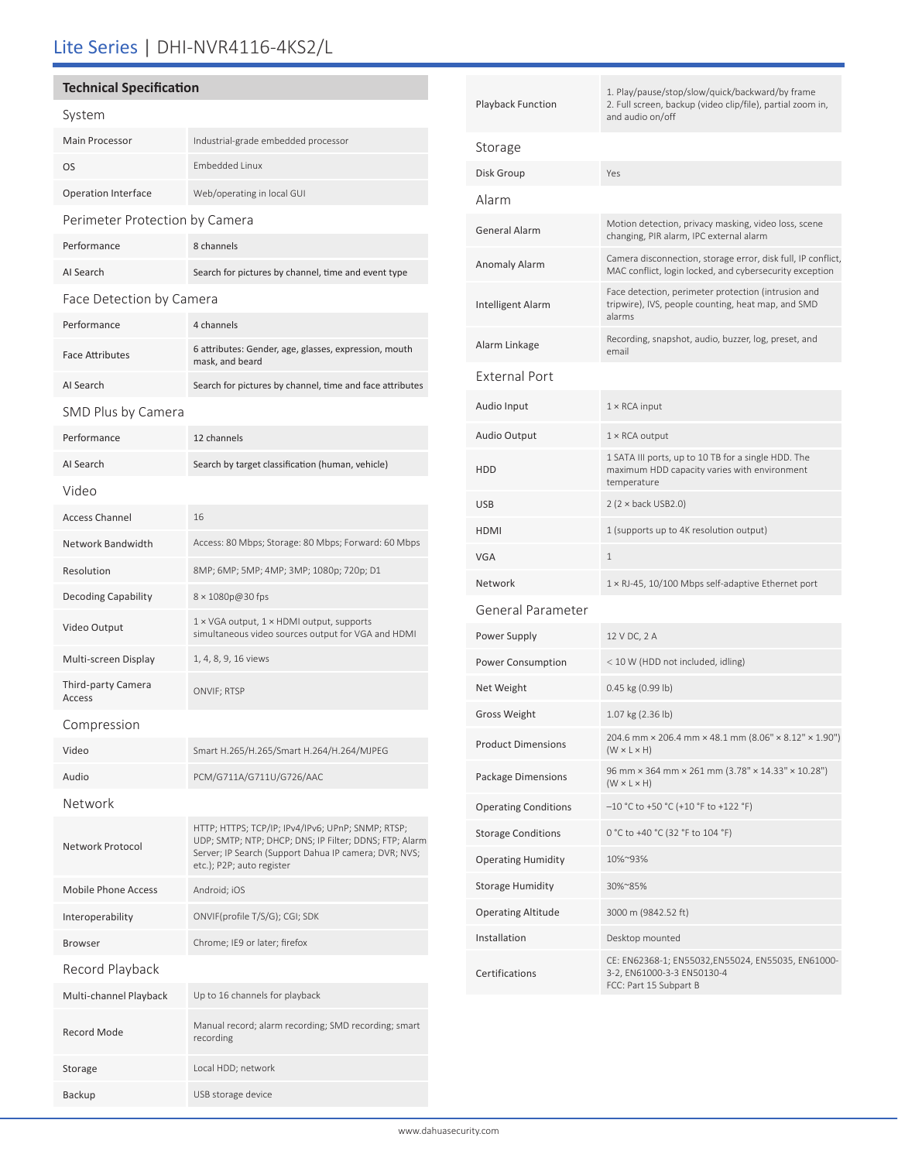# Lite Series | DHI-NVR4116-4KS2/L

### **Technical Specification**

| System                         |                                                                                                                                                                                                   |  |  |  |
|--------------------------------|---------------------------------------------------------------------------------------------------------------------------------------------------------------------------------------------------|--|--|--|
| <b>Main Processor</b>          | Industrial-grade embedded processor                                                                                                                                                               |  |  |  |
| OS                             | <b>Embedded Linux</b>                                                                                                                                                                             |  |  |  |
| <b>Operation Interface</b>     | Web/operating in local GUI                                                                                                                                                                        |  |  |  |
| Perimeter Protection by Camera |                                                                                                                                                                                                   |  |  |  |
| Performance                    | 8 channels                                                                                                                                                                                        |  |  |  |
| AI Search                      | Search for pictures by channel, time and event type                                                                                                                                               |  |  |  |
| Face Detection by Camera       |                                                                                                                                                                                                   |  |  |  |
| Performance                    | 4 channels                                                                                                                                                                                        |  |  |  |
| <b>Face Attributes</b>         | 6 attributes: Gender, age, glasses, expression, mouth<br>mask, and beard                                                                                                                          |  |  |  |
| AI Search                      | Search for pictures by channel, time and face attributes                                                                                                                                          |  |  |  |
| SMD Plus by Camera             |                                                                                                                                                                                                   |  |  |  |
| Performance                    | 12 channels                                                                                                                                                                                       |  |  |  |
| AI Search                      | Search by target classification (human, vehicle)                                                                                                                                                  |  |  |  |
| Video                          |                                                                                                                                                                                                   |  |  |  |
| <b>Access Channel</b>          | 16                                                                                                                                                                                                |  |  |  |
| Network Bandwidth              | Access: 80 Mbps; Storage: 80 Mbps; Forward: 60 Mbps                                                                                                                                               |  |  |  |
| Resolution                     | 8MP; 6MP; 5MP; 4MP; 3MP; 1080p; 720p; D1                                                                                                                                                          |  |  |  |
| <b>Decoding Capability</b>     | 8 × 1080p@30 fps                                                                                                                                                                                  |  |  |  |
| Video Output                   | 1 × VGA output, 1 × HDMI output, supports<br>simultaneous video sources output for VGA and HDMI                                                                                                   |  |  |  |
| Multi-screen Display           | 1, 4, 8, 9, 16 views                                                                                                                                                                              |  |  |  |
| Third-party Camera<br>Access   | ONVIF; RTSP                                                                                                                                                                                       |  |  |  |
| Compression                    |                                                                                                                                                                                                   |  |  |  |
| Video                          | Smart H.265/H.265/Smart H.264/H.264/MJPEG                                                                                                                                                         |  |  |  |
| Audio                          | PCM/G711A/G711U/G726/AAC                                                                                                                                                                          |  |  |  |
| Network                        |                                                                                                                                                                                                   |  |  |  |
| Network Protocol               | HTTP; HTTPS; TCP/IP; IPv4/IPv6; UPnP; SNMP; RTSP;<br>UDP; SMTP; NTP; DHCP; DNS; IP Filter; DDNS; FTP; Alarm<br>Server; IP Search (Support Dahua IP camera; DVR; NVS;<br>etc.); P2P; auto register |  |  |  |
| <b>Mobile Phone Access</b>     | Android; iOS                                                                                                                                                                                      |  |  |  |
| Interoperability               | ONVIF(profile T/S/G); CGI; SDK                                                                                                                                                                    |  |  |  |
| <b>Browser</b>                 | Chrome; IE9 or later; firefox                                                                                                                                                                     |  |  |  |
| Record Playback                |                                                                                                                                                                                                   |  |  |  |
| Multi-channel Playback         | Up to 16 channels for playback                                                                                                                                                                    |  |  |  |
| <b>Record Mode</b>             | Manual record; alarm recording; SMD recording; smart<br>recording                                                                                                                                 |  |  |  |
| Storage                        | Local HDD; network                                                                                                                                                                                |  |  |  |

Backup USB storage device

| Playback Function           | 1. Play/pause/stop/slow/quick/backward/by frame<br>2. Full screen, backup (video clip/file), partial zoom in,<br>and audio on/off |  |
|-----------------------------|-----------------------------------------------------------------------------------------------------------------------------------|--|
| Storage                     |                                                                                                                                   |  |
| Disk Group                  | Yes                                                                                                                               |  |
| Alarm                       |                                                                                                                                   |  |
| General Alarm               | Motion detection, privacy masking, video loss, scene<br>changing, PIR alarm, IPC external alarm                                   |  |
| Anomaly Alarm               | Camera disconnection, storage error, disk full, IP conflict,<br>MAC conflict, login locked, and cybersecurity exception           |  |
| Intelligent Alarm           | Face detection, perimeter protection (intrusion and<br>tripwire), IVS, people counting, heat map, and SMD<br>alarms               |  |
| Alarm Linkage               | Recording, snapshot, audio, buzzer, log, preset, and<br>email                                                                     |  |
| External Port               |                                                                                                                                   |  |
| Audio Input                 | $1 \times$ RCA input                                                                                                              |  |
| Audio Output                | $1 \times$ RCA output                                                                                                             |  |
| HDD                         | 1 SATA III ports, up to 10 TB for a single HDD. The<br>maximum HDD capacity varies with environment<br>temperature                |  |
| USB                         | $2(2 \times back USB2.0)$                                                                                                         |  |
| HDMI                        | 1 (supports up to 4K resolution output)                                                                                           |  |
| VGA                         | 1                                                                                                                                 |  |
| Network                     | $1 \times R$ J-45, 10/100 Mbps self-adaptive Ethernet port                                                                        |  |
| General Parameter           |                                                                                                                                   |  |
| Power Supply                | 12 V DC, 2 A                                                                                                                      |  |
| Power Consumption           | < 10 W (HDD not included, idling)                                                                                                 |  |
| Net Weight                  | 0.45 kg (0.99 lb)                                                                                                                 |  |
| Gross Weight                | 1.07 kg (2.36 lb)                                                                                                                 |  |
| Product Dimensions          | 204.6 mm × 206.4 mm × 48.1 mm (8.06" × 8.12" × 1.90")<br>$(W \times L \times H)$                                                  |  |
| Package Dimensions          | 96 mm × 364 mm × 261 mm (3.78" × 14.33" × 10.28")<br>$(W \times L \times H)$                                                      |  |
| <b>Operating Conditions</b> | $-10$ °C to +50 °C (+10 °F to +122 °F)                                                                                            |  |
| <b>Storage Conditions</b>   | 0 °C to +40 °C (32 °F to 104 °F)                                                                                                  |  |
| Operating Humidity          | 10%~93%                                                                                                                           |  |
| Storage Humidity            | 30%~85%                                                                                                                           |  |
| Operating Altitude          | 3000 m (9842.52 ft)                                                                                                               |  |
| Installation                | Desktop mounted                                                                                                                   |  |
| Certifications              | CE: EN62368-1; EN55032,EN55024, EN55035, EN61000-<br>3-2, EN61000-3-3 EN50130-4<br>FCC: Part 15 Subpart B                         |  |